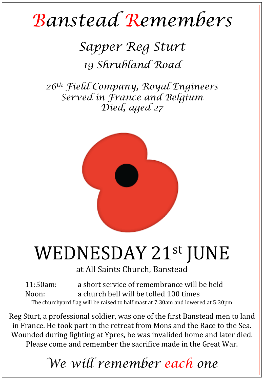## *Banstead Remembers*

### *Sapper Reg Sturt 19 Shrubland Road*

*26th Field Company, Royal Engineers Served in France and Belgium Died, aged 27* 



# WEDNESDAY 21st JUNE

at All Saints Church, Banstead

11:50am: a short service of remembrance will be held Noon: a church bell will be tolled 100 times The churchyard flag will be raised to half mast at 7:30am and lowered at 5:30pm

Reg Sturt, a professional soldier, was one of the first Banstead men to land in France. He took part in the retreat from Mons and the Race to the Sea. Wounded during fighting at Ypres, he was invalided home and later died. Please come and remember the sacrifice made in the Great War.

## *We will remember each one*